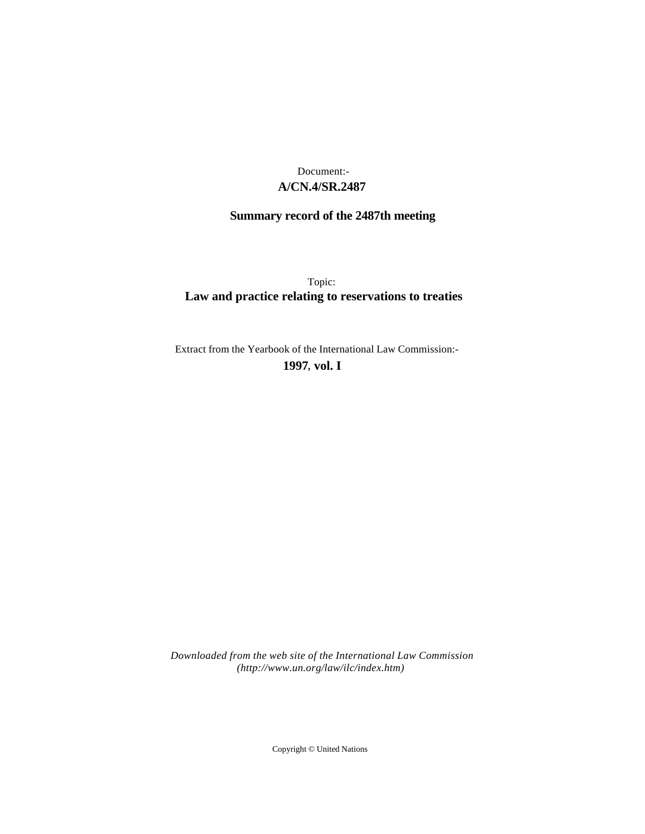# **A/CN.4/SR.2487** Document:-

# **Summary record of the 2487th meeting**

Topic: **Law and practice relating to reservations to treaties**

Extract from the Yearbook of the International Law Commission:-

**1997** , **vol. I**

*Downloaded from the web site of the International Law Commission (http://www.un.org/law/ilc/index.htm)*

Copyright © United Nations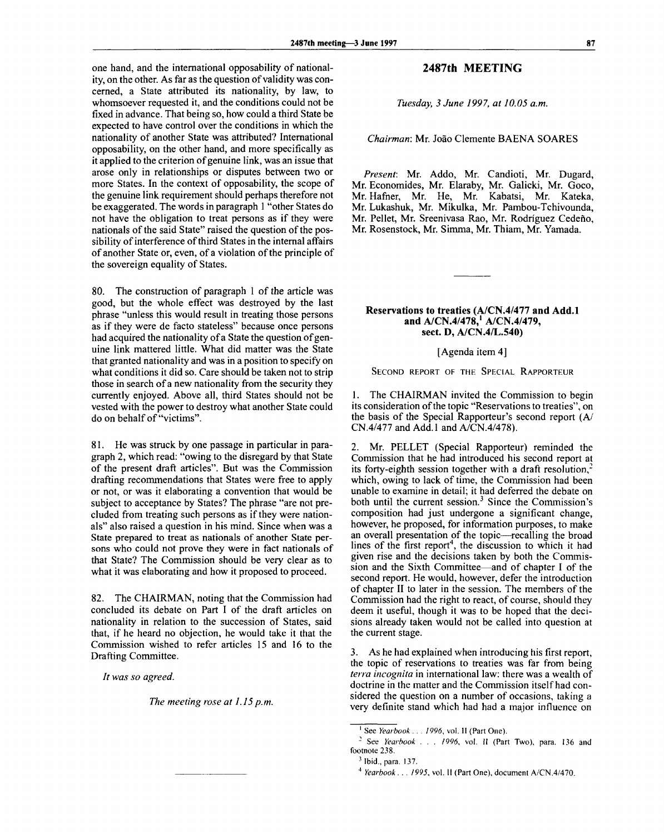one hand, and the international opposability of nationality, on the other. As far as the question of validity was concerned, a State attributed its nationality, by law, to whomsoever requested it, and the conditions could not be fixed in advance. That being so, how could a third State be expected to have control over the conditions in which the nationality of another State was attributed? International opposability, on the other hand, and more specifically as it applied to the criterion of genuine link, was an issue that arose only in relationships or disputes between two or more States. In the context of opposability, the scope of the genuine link requirement should perhaps therefore not be exaggerated. The words in paragraph 1 "other States do not have the obligation to treat persons as if they were nationals of the said State" raised the question of the possibility of interference of third States in the internal affairs of another State or, even, of a violation of the principle of the sovereign equality of States.

80. The construction of paragraph 1 of the article was good, but the whole effect was destroyed by the last phrase "unless this would result in treating those persons as if they were de facto stateless" because once persons had acquired the nationality of a State the question of genuine link mattered little. What did matter was the State that granted nationality and was in a position to specify on what conditions it did so. Care should be taken not to strip those in search of a new nationality from the security they currently enjoyed. Above all, third States should not be vested with the power to destroy what another State could do on behalf of "victims".

81. He was struck by one passage in particular in paragraph 2, which read: "owing to the disregard by that State of the present draft articles". But was the Commission drafting recommendations that States were free to apply or not, or was it elaborating a convention that would be subject to acceptance by States? The phrase "are not precluded from treating such persons as if they were nationals" also raised a question in his mind. Since when was a State prepared to treat as nationals of another State persons who could not prove they were in fact nationals of that State? The Commission should be very clear as to what it was elaborating and how it proposed to proceed.

82. The CHAIRMAN, noting that the Commission had concluded its debate on Part I of the draft articles on nationality in relation to the succession of States, said that, if he heard no objection, he would take it that the Commission wished to refer articles 15 and 16 to the Drafting Committee.

*It was so agreed.*

*The meeting rose at 1.15p.m.*

# **2487th MEETING**

*Tuesday, 3 June 1997, at 10.05 a.m.*

*Chairman:* Mr. Joao Clemente BAENA SOARES

*Present:* Mr. Addo, Mr. Candioti, Mr. Dugard, Mr. Economides, Mr. Elaraby, Mr. Galicki, Mr. Goco, Mr. Hafner, Mr. He, Mr. Kabatsi, Mr. Kateka, Mr. Lukashuk, Mr. Mikulka, Mr. Pambou-Tchivounda, Mr. Pellet, Mr. Sreenivasa Rao, Mr. Rodriguez Cedeno, Mr. Rosenstock, Mr. Simma, Mr. Thiam, Mr. Yamada.

#### **Reservations to treaties (A/CN.4/477 and Add.l and A/CN.4/478,<sup>1</sup> A/CN.4/479, sect. D, A/CN.4/L.540)**

#### [Agenda item 4]

SECOND REPORT OF THE SPECIAL RAPPORTEUR

1. The CHAIRMAN invited the Commission to begin its consideration of the topic "Reservations to treaties", on the basis of the Special Rapporteur's second report (A/ CN.4/477 and Add.l and A/CN.4/478).

2. Mr. PELLET (Special Rapporteur) reminded the Commission that he had introduced his second report at its forty-eighth session together with a draft resolution,<sup>2</sup> which, owing to lack of time, the Commission had been unable to examine in detail; it had deferred the debate on both until the current session.<sup>3</sup> Since the Commission's composition had just undergone a significant change, however, he proposed, for information purposes, to make an overall presentation of the topic—recalling the broad  $\frac{1}{2}$  lines of the first report<sup>4</sup>, the discussion to which it had given rise and the decisions taken by both the Commission and the Sixth Committee—and of chapter I of the second report. He would, however, defer the introduction of chapter II to later in the session. The members of the Commission had the right to react, of course, should they deem it useful, though it was to be hoped that the decisions already taken would not be called into question at the current stage.

3. As he had explained when introducing his first report, the topic of reservations to treaties was far from being *terra incognita* in international law: there was a wealth of doctrine in the matter and the Commission itself had considered the question on a number of occasions, taking a very definite stand which had had a major influence on

<sup>1</sup> See Yearbook . . *1996,* vol. II (Part One).

<sup>&</sup>lt;sup>2</sup> See Yearbook . . . 1996, vol. II (Part Two), para. 136 and footnote 238.

<sup>&</sup>lt;sup>3</sup> Ibid., para. 137.

<sup>4</sup>  *Yearbook . . . 1995,* vol. II (Part One), document A/CN.4/470.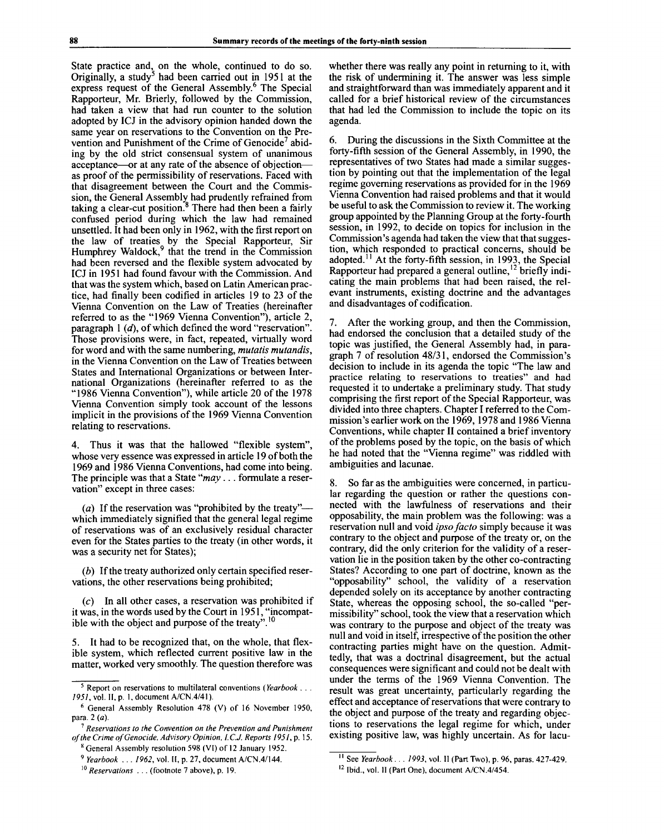State practice and, on the whole, continued to do so. Originally, a study<sup>5</sup> had been carried out in 1951 at the express request of the General Assembly.<sup>6</sup> The Special Rapporteur, Mr. Brierly, followed by the Commission, had taken a view that had run counter to the solution adopted by ICJ in the advisory opinion handed down the same year on reservations to the Convention on the Prevention and Punishment of the Crime of Genocide<sup>7</sup> abiding by the old strict consensual system of unanimous acceptance—or at any rate of the absence of objection as proof of the permissibility of reservations. Faced with that disagreement between the Court and the Commission, the General Assembly had prudently refrained from taking a clear-cut position.<sup>8</sup> There had then been a fairly confused period during which the law had remained unsettled. It had been only in 1962, with the first report on the law of treaties by the Special Rapporteur, Sir  $H$ umphrey Waldock, $9$  that the trend in the Commission had been reversed and the flexible system advocated by ICJ in 1951 had found favour with the Commission. And that was the system which, based on Latin American practice, had finally been codified in articles 19 to 23 of the Vienna Convention on the Law of Treaties (hereinafter referred to as the "1969 Vienna Convention"), article 2, paragraph 1 (d), of which defined the word "reservation" Those provisions were, in fact, repeated, virtually word for word and with the same numbering, *mutatis mutandis,* in the Vienna Convention on the Law of Treaties between States and International Organizations or between International Organizations (hereinafter referred to as the "1986 Vienna Convention"), while article 20 of the 1978 Vienna Convention simply took account of the lessons implicit in the provisions of the 1969 Vienna Convention relating to reservations.

4. Thus it was that the hallowed "flexible system", whose very essence was expressed in article 19 of both the 1969 and 1986 Vienna Conventions, had come into being. The principle was that a State *"may ..*. formulate a reservation" except in three cases:

*(a)* If the reservation was "prohibited by the treaty" which immediately signified that the general legal regime of reservations was of an exclusively residual character even for the States parties to the treaty (in other words, it was a security net for States);

*(b)* If the treaty authorized only certain specified reservations, the other reservations being prohibited;

(c) In all other cases, a reservation was prohibited if it was, in the words used by the Court in 1951, "incompatible with the object and purpose of the treaty".<sup>10</sup>

5. It had to be recognized that, on the whole, that flexible system, which reflected current positive law in the matter, worked very smoothly. The question therefore was whether there was really any point in returning to it, with the risk of undermining it. The answer was less simple and straightforward than was immediately apparent and it called for a brief historical review of the circumstances that had led the Commission to include the topic on its agenda.

6. During the discussions in the Sixth Committee at the forty-fifth session of the General Assembly, in 1990, the representatives of two States had made a similar suggestion by pointing out that the implementation of the legal regime governing reservations as provided for in the 1969 Vienna Convention had raised problems and that it would be useful to ask the Commission to review it. The working group appointed by the Planning Group at the forty-fourth session, in 1992, to decide on topics for inclusion in the Commission's agenda had taken the view that that suggestion, which responded to practical concerns, should be adopted.<sup>11</sup> At the forty-fifth session, in 1993, the Special Rapporteur had prepared a general outline,  $\frac{12}{2}$  briefly indicating the main problems that had been raised, the relevant instruments, existing doctrine and the advantages and disadvantages of codification.

7. After the working group, and then the Commission, had endorsed the conclusion that a detailed study of the topic was justified, the General Assembly had, in paragraph 7 of resolution 48/31, endorsed the Commission's decision to include in its agenda the topic "The law and practice relating to reservations to treaties" and had requested it to undertake a preliminary study. That study comprising the first report of the Special Rapporteur, was divided into three chapters. Chapter I referred to the Commission's earlier work on the 1969, 1978 and 1986 Vienna Conventions, while chapter II contained a brief inventory of the problems posed by the topic, on the basis of which he had noted that the "Vienna regime" was riddled with ambiguities and lacunae.

8. So far as the ambiguities were concerned, in particular regarding the question or rather the questions connected with the lawfulness of reservations and their opposability, the main problem was the following: was a reservation null and void *ipso facto* simply because it was contrary to the object and purpose of the treaty or, on the contrary, did the only criterion for the validity of a reservation lie in the position taken by the other co-contracting States? According to one part of doctrine, known as the "opposability" school, the validity of a reservation depended solely on its acceptance by another contracting State, whereas the opposing school, the so-called "permissibility" school, took the view that a reservation which was contrary to the purpose and object of the treaty was null and void in itself, irrespective of the position the other contracting parties might have on the question. Admittedly, that was a doctrinal disagreement, but the actual consequences were significant and could not be dealt with under the terms of the 1969 Vienna Convention. The result was great uncertainty, particularly regarding the effect and acceptance of reservations that were contrary to the object and purpose of the treaty and regarding objections to reservations the legal regime for which, under existing positive law, was highly uncertain. As for lacu-

<sup>5</sup> Report on reservations to multilateral conventions *(Yearbook . . . 1951,* vol. II, p. I, document A/CN.4/41).

<sup>&</sup>lt;sup>6</sup> General Assembly Resolution 478 (V) of 16 November 1950, para. *2 (a).*

<sup>7</sup>  *Reservations to the Convention on the Prevention and Punishment of the Crime of Genocide, Advisory Opinion, l.C.J. Reports 1951,* p. 15.

s General Assembly resolution 598 (VI) of 12 January 1952.

<sup>9</sup>  *Yearbook . . . 1962,* vol. II, p. 27, document A/CN.4/144.

<sup>&</sup>lt;sup>10</sup> Reservations ... (footnote 7 above), p. 19.

<sup>11</sup> See *Yearbook . . . 1993,* vol. II (Part Two), p. 96, paras. 427-429.

<sup>&</sup>lt;sup>12</sup> Ibid., vol. II (Part One), document A/CN.4/454.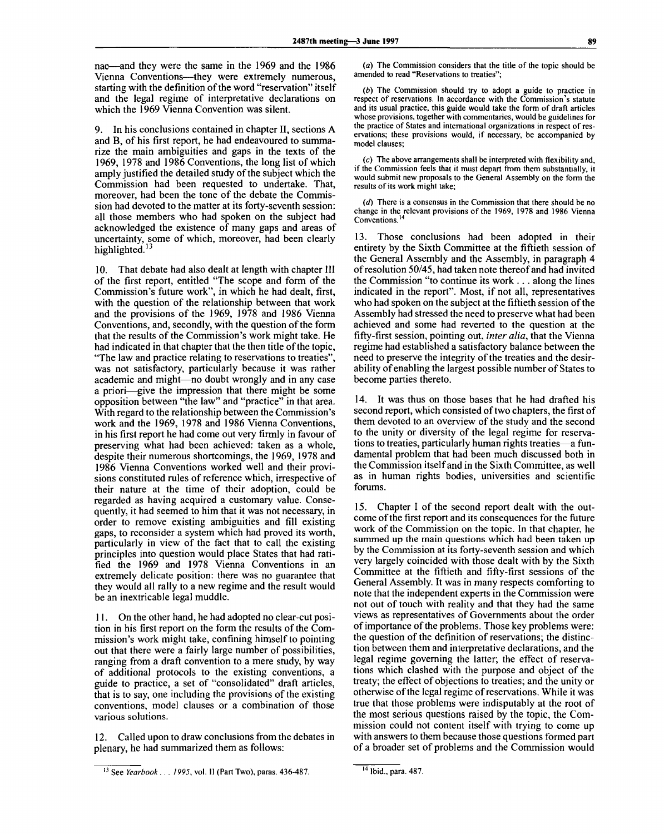nae—and they were the same in the 1969 and the 1986 Vienna Conventions—they were extremely numerous, starting with the definition of the word "reservation" itself and the legal regime of interpretative declarations on which the 1969 Vienna Convention was silent.

9. In his conclusions contained in chapter II, sections A and B, of his first report, he had endeavoured to summarize the main ambiguities and gaps in the texts of the 1969, 1978 and 1986 Conventions, the long list of which amply justified the detailed study of the subject which the Commission had been requested to undertake. That, moreover, had been the tone of the debate the Commission had devoted to the matter at its forty-seventh session: all those members who had spoken on the subject had acknowledged the existence of many gaps and areas of uncertainty, some of which, moreover, had been clearly **highlighted.**<sup>13</sup>

10. That debate had also dealt at length with chapter III of the first report, entitled "The scope and form of the Commission's future work", in which he had dealt, first, with the question of the relationship between that work and the provisions of the 1969, 1978 and 1986 Vienna Conventions, and, secondly, with the question of the form that the results of the Commission's work might take. He had indicated in that chapter that the then title of the topic, "The law and practice relating to reservations to treaties", was not satisfactory, particularly because it was rather academic and might—no doubt wrongly and in any case a priori—give the impression that there might be some opposition between "the law" and "practice" in that area. With regard to the relationship between the Commission's work and the 1969, 1978 and 1986 Vienna Conventions, in his first report he had come out very firmly in favour of preserving what had been achieved: taken as a whole, despite their numerous shortcomings, the 1969, 1978 and 1986 Vienna Conventions worked well and their provisions constituted rules of reference which, irrespective of their nature at the time of their adoption, could be regarded as having acquired a customary value. Consequently, it had seemed to him that it was not necessary, in order to remove existing ambiguities and fill existing gaps, to reconsider a system which had proved its worth, particularly in view of the fact that to call the existing principles into question would place States that had ratified the 1969 and 1978 Vienna Conventions in an extremely delicate position: there was no guarantee that they would all rally to a new regime and the result would be an inextricable legal muddle.

11. On the other hand, he had adopted no clear-cut position in his first report on the form the results of the Commission's work might take, confining himself to pointing out that there were a fairly large number of possibilities, ranging from a draft convention to a mere study, by way of additional protocols to the existing conventions, a guide to practice, a set of "consolidated" draft articles, that is to say, one including the provisions of the existing conventions, model clauses or a combination of those various solutions.

12. Called upon to draw conclusions from the debates in plenary, he had summarized them as follows:

(a) The Commission considers that the title of the topic should be amended to read "Reservations to treaties";

*(b)* The Commission should try to adopt a guide to practice in respect of reservations. In accordance with the Commission's statute and its usual practice, this guide would take the form of draft articles whose provisions, together with commentaries, would be guidelines for the practice of States and international organizations in respect of reservations; these provisions would, if necessary, be accompanied by model clauses;

(c) The above arrangements shall be interpreted with flexibility and, if the Commission feels that it must depart from them substantially, it would submit new proposals to the General Assembly on the form the results of its work might take;

*(d)* There is a consensus in the Commission that there should be no change in the relevant provisions of the 1969, 1978 and 1986 Vienna<br>Conventions.<sup>14</sup>

13. Those conclusions had been adopted in their entirety by the Sixth Committee at the fiftieth session of the General Assembly and the Assembly, in paragraph 4 of resolution 50/45, had taken note thereof and had invited the Commission "to continue its work . . . along the lines indicated in the report". Most, if not all, representatives who had spoken on the subject at the fiftieth session of the Assembly had stressed the need to preserve what had been achieved and some had reverted to the question at the fifty-first session, pointing out, *inter alia,* that the Vienna regime had established a satisfactory balance between the need to preserve the integrity of the treaties and the desirability of enabling the largest possible number of States to become parties thereto.

14. It was thus on those bases that he had drafted his second report, which consisted of two chapters, the first of them devoted to an overview of the study and the second to the unity or diversity of the legal regime for reservations to treaties, particularly human rights treaties—a fundamental problem that had been much discussed both in the Commission itself and in the Sixth Committee, as well as in human rights bodies, universities and scientific forums.

15. Chapter I of the second report dealt with the outcome of the first report and its consequences for the future work of the Commission on the topic. In that chapter, he summed up the main questions which had been taken up by the Commission at its forty-seventh session and which very largely coincided with those dealt with by the Sixth Committee at the fiftieth and fifty-first sessions of the General Assembly. It was in many respects comforting to note that the independent experts in the Commission were not out of touch with reality and that they had the same views as representatives of Governments about the order of importance of the problems. Those key problems were: the question of the definition of reservations; the distinction between them and interpretative declarations, and the legal regime governing the latter; the effect of reservations which clashed with the purpose and object of the treaty; the effect of objections to treaties; and the unity or otherwise of the legal regime of reservations. While it was true that those problems were indisputably at the root of the most serious questions raised by the topic, the Commission could not content itself with trying to come up with answers to them because those questions formed part of a broader set of problems and the Commission would

<sup>13</sup> See *Yearbook . . . 1995,* vol. II (Part Two), paras. 436-487.

<sup>14</sup> Ibid., para. 487.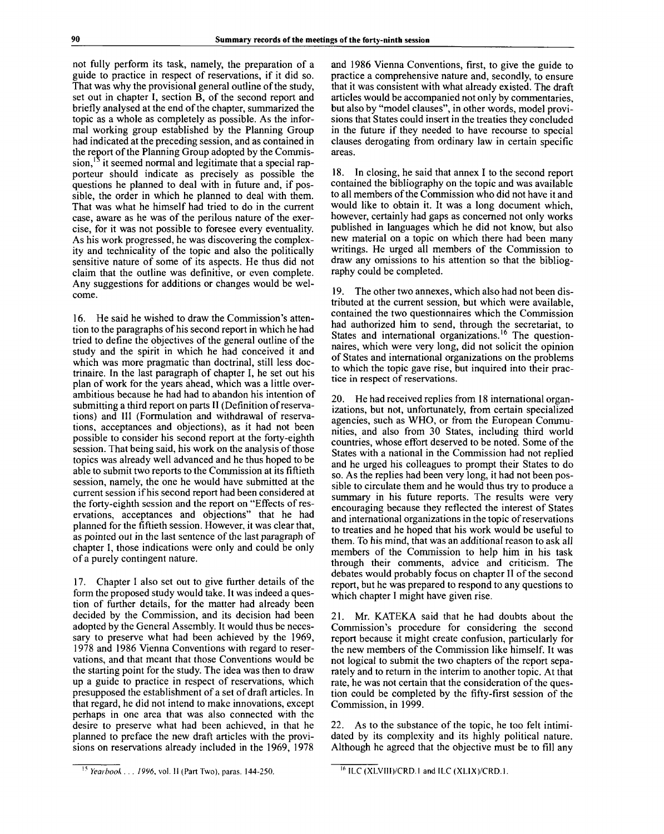not fully perform its task, namely, the preparation of a guide to practice in respect of reservations, if it did so. That was why the provisional general outline of the study, set out in chapter I, section B, of the second report and briefly analysed at the end of the chapter, summarized the topic as a whole as completely as possible. As the informal working group established by the Planning Group had indicated at the preceding session, and as contained in the report of the Planning Group adopted by the Commission,  $15$  it seemed normal and legitimate that a special rapporteur should indicate as precisely as possible the questions he planned to deal with in future and, if possible, the order in which he planned to deal with them. That was what he himself had tried to do in the current case, aware as he was of the perilous nature of the exercise, for it was not possible to foresee every eventuality. As his work progressed, he was discovering the complexity and technicality of the topic and also the politically sensitive nature of some of its aspects. He thus did not claim that the outline was definitive, or even complete. Any suggestions for additions or changes would be welcome.

16. He said he wished to draw the Commission's attention to the paragraphs of his second report in which he had tried to define the objectives of the general outline of the study and the spirit in which he had conceived it and which was more pragmatic than doctrinal, still less doctrinaire. In the last paragraph of chapter I, he set out his plan of work for the years ahead, which was a little overambitious because he had had to abandon his intention of submitting a third report on parts II (Definition of reservations) and III (Formulation and withdrawal of reservations, acceptances and objections), as it had not been possible to consider his second report at the forty-eighth session. That being said, his work on the analysis of those topics was already well advanced and he thus hoped to be able to submit two reports to the Commission at its fiftieth session, namely, the one he would have submitted at the current session if his second report had been considered at the forty-eighth session and the report on "Effects of reservations, acceptances and objections" that he had planned for the fiftieth session. However, it was clear that, as pointed out in the last sentence of the last paragraph of chapter I, those indications were only and could be only of a purely contingent nature.

17. Chapter I also set out to give further details of the form the proposed study would take. It was indeed a question of further details, for the matter had already been decided by the Commission, and its decision had been adopted by the General Assembly. It would thus be necessary to preserve what had been achieved by the 1969, 1978 and 1986 Vienna Conventions with regard to reservations, and that meant that those Conventions would be the starting point for the study. The idea was then to draw up a guide to practice in respect of reservations, which presupposed the establishment of a set of draft articles. In that regard, he did not intend to make innovations, except perhaps in one area that was also connected with the desire to preserve what had been achieved, in that he planned to preface the new draft articles with the provisions on reservations already included in the 1969, 1978

and 1986 Vienna Conventions, first, to give the guide to practice a comprehensive nature and, secondly, to ensure that it was consistent with what already existed. The draft articles would be accompanied not only by commentaries, but also by "model clauses", in other words, model provisions that States could insert in the treaties they concluded in the future if they needed to have recourse to special clauses derogating from ordinary law in certain specific areas.

18. In closing, he said that annex I to the second report contained the bibliography on the topic and was available to all members of the Commission who did not have it and would like to obtain it. It was a long document which, however, certainly had gaps as concerned not only works published in languages which he did not know, but also new material on a topic on which there had been many writings. He urged all members of the Commission to draw any omissions to his attention so that the bibliography could be completed.

19. The other two annexes, which also had not been distributed at the current session, but which were available, contained the two questionnaires which the Commission had authorized him to send, through the secretariat, to States and international organizations.<sup>16</sup> The questionnaires, which were very long, did not solicit the opinion of States and international organizations on the problems to which the topic gave rise, but inquired into their practice in respect of reservations.

20. He had received replies from 18 international organizations, but not, unfortunately, from certain specialized agencies, such as WHO, or from the European Communities, and also from 30 States, including third world countries, whose effort deserved to be noted. Some of the States with a national in the Commission had not replied and he urged his colleagues to prompt their States to do so. As the replies had been very long, it had not been possible to circulate them and he would thus try to produce a summary in his future reports. The results were very encouraging because they reflected the interest of States and international organizations in the topic of reservations to treaties and he hoped that his work would be useful to them. To his mind, that was an additional reason to ask all members of the Commission to help him in his task through their comments, advice and criticism. The debates would probably focus on chapter II of the second report, but he was prepared to respond to any questions to which chapter I might have given rise.

21. Mr. KATEKA said that he had doubts about the Commission's procedure for considering the second report because it might create confusion, particularly for the new members of the Commission like himself. It was not logical to submit the two chapters of the report separately and to return in the interim to another topic. At that rate, he was not certain that the consideration of the question could be completed by the fifty-first session of the Commission, in 1999.

22. As to the substance of the topic, he too felt intimidated by its complexity and its highly political nature. Although he agreed that the objective must be to fill any

<sup>&</sup>lt;sup>15</sup> *Yearbook* . . . 1996, vol. II (Part Two), paras. 144-250. In the Matter of MC (XLVIII)/CRD.I and ILC (XLIX)/CRD.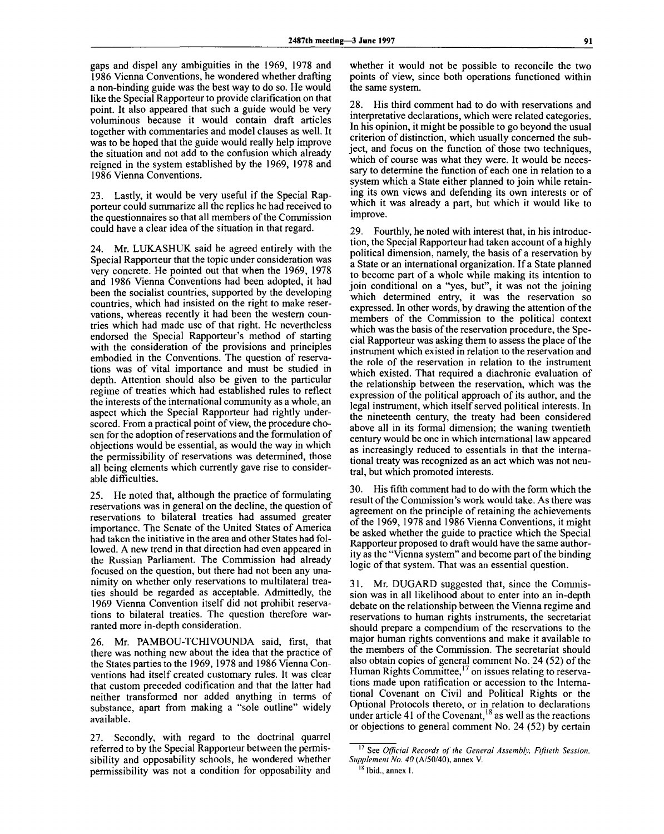gaps and dispel any ambiguities in the 1969, 1978 and 1986 Vienna Conventions, he wondered whether drafting a non-binding guide was the best way to do so. He would like the Special Rapporteur to provide clarification on that point. It also appeared that such a guide would be very voluminous because it would contain draft articles together with commentaries and model clauses as well. It was to be hoped that the guide would really help improve the situation and not add to the confusion which already reigned in the system established by the 1969, 1978 and 1986 Vienna Conventions.

23. Lastly, it would be very useful if the Special Rapporteur could summarize all the replies he had received to the questionnaires so that all members of the Commission could have a clear idea of the situation in that regard.

24. Mr. LUKASHUK said he agreed entirely with the Special Rapporteur that the topic under consideration was very concrete. He pointed out that when the 1969, 1978 and 1986 Vienna Conventions had been adopted, it had been the socialist countries, supported by the developing countries, which had insisted on the right to make reservations, whereas recently it had been the western countries which had made use of that right. He nevertheless endorsed the Special Rapporteur's method of starting with the consideration of the provisions and principles embodied in the Conventions. The question of reservations was of vital importance and must be studied in depth. Attention should also be given to the particular regime of treaties which had established rules to reflect the interests of the international community as a whole, an aspect which the Special Rapporteur had rightly underscored. From a practical point of view, the procedure chosen for the adoption of reservations and the formulation of objections would be essential, as would the way in which the permissibility of reservations was determined, those all being elements which currently gave rise to considerable difficulties.

25. He noted that, although the practice of formulating reservations was in general on the decline, the question of reservations to bilateral treaties had assumed greater importance. The Senate of the United States of America had taken the initiative in the area and other States had followed. A new trend in that direction had even appeared in the Russian Parliament. The Commission had already focused on the question, but there had not been any unanimity on whether only reservations to multilateral treaties should be regarded as acceptable. Admittedly, the 1969 Vienna Convention itself did not prohibit reservations to bilateral treaties. The question therefore warranted more in-depth consideration.

26. Mr. PAMBOU-TCHIVOUNDA said, first, that there was nothing new about the idea that the practice of the States parties to the 1969, 1978 and 1986 Vienna Conventions had itself created customary rules. It was clear that custom preceded codification and that the latter had neither transformed nor added anything in terms of substance, apart from making a "sole outline" widely available.

27. Secondly, with regard to the doctrinal quarrel referred to by the Special Rapporteur between the permissibility and opposability schools, he wondered whether permissibility was not a condition for opposability and whether it would not be possible to reconcile the two points of view, since both operations functioned within the same system.

28. His third comment had to do with reservations and interpretative declarations, which were related categories. In his opinion, it might be possible to go beyond the usual criterion of distinction, which usually concerned the subject, and focus on the function of those two techniques, which of course was what they were. It would be necessary to determine the function of each one in relation to a system which a State either planned to join while retaining its own views and defending its own interests or of which it was already a part, but which it would like to improve.

29. Fourthly, he noted with interest that, in his introduction, the Special Rapporteur had taken account of a highly political dimension, namely, the basis of a reservation by a State or an international organization. If a State planned to become part of a whole while making its intention to join conditional on a "yes, but", it was not the joining which determined entry, it was the reservation so expressed. In other words, by drawing the attention of the members of the Commission to the political context which was the basis of the reservation procedure, the Special Rapporteur was asking them to assess the place of the instrument which existed in relation to the reservation and the role of the reservation in relation to the instrument which existed. That required a diachronic evaluation of the relationship between the reservation, which was the expression of the political approach of its author, and the legal instrument, which itself served political interests. In the nineteenth century, the treaty had been considered above all in its formal dimension; the waning twentieth century would be one in which international law appeared as increasingly reduced to essentials in that the international treaty was recognized as an act which was not neutral, but which promoted interests.

30. His fifth comment had to do with the form which the result of the Commission's work would take. As there was agreement on the principle of retaining the achievements of the 1969, 1978 and 1986 Vienna Conventions, it might be asked whether the guide to practice which the Special Rapporteur proposed to draft would have the same authority as the "Vienna system" and become part of the binding logic of that system. That was an essential question.

31. Mr. DUGARD suggested that, since the Commission was in all likelihood about to enter into an in-depth debate on the relationship between the Vienna regime and reservations to human rights instruments, the secretariat should prepare a compendium of the reservations to the major human rights conventions and make it available to the members of the Commission. The secretariat should also obtain copies of general comment No. 24 (52) of the Human Rights Committee,<sup>17</sup> on issues relating to reservations made upon ratification or accession to the International Covenant on Civil and Political Rights or the Optional Protocols thereto, or in relation to declarations under article 41 of the Covenant,  $18$  as well as the reactions or objections to general comment No. 24 (52) by certain

<sup>17</sup> See *Official Records of the General Assembly, Fiftieth Session. Supplement No. 40* (A/50/40), annex V.

<sup>&</sup>lt;sup>18</sup> Ibid., annex I.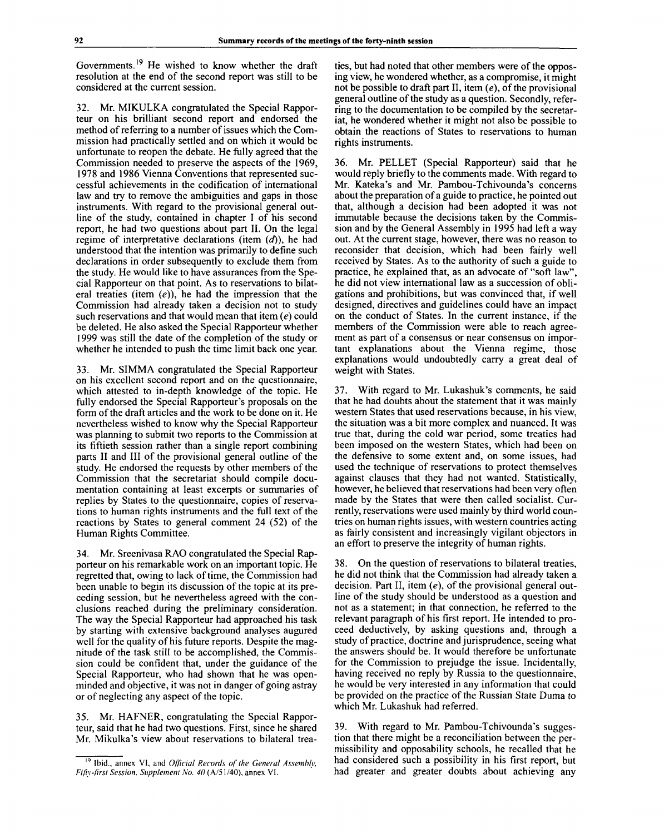Governments.<sup>19</sup> He wished to know whether the draft resolution at the end of the second report was still to be considered at the current session.

32. Mr. MIKULKA congratulated the Special Rapporteur on his brilliant second report and endorsed the method of referring to a number of issues which the Commission had practically settled and on which it would be unfortunate to reopen the debate. He fully agreed that the Commission needed to preserve the aspects of the 1969, 1978 and 1986 Vienna Conventions that represented successful achievements in the codification of international law and try to remove the ambiguities and gaps in those instruments. With regard to the provisional general outline of the study, contained in chapter I of his second report, he had two questions about part II. On the legal regime of interpretative declarations (item *(d)),* he had understood that the intention was primarily to define such declarations in order subsequently to exclude them from the study. He would like to have assurances from the Special Rapporteur on that point. As to reservations to bilateral treaties (item *(e)),* he had the impression that the Commission had already taken a decision not to study such reservations and that would mean that item *(e)* could be deleted. He also asked the Special Rapporteur whether 1999 was still the date of the completion of the study or whether he intended to push the time limit back one year.

33. Mr. SIMMA congratulated the Special Rapporteur on his excellent second report and on the questionnaire, which attested to in-depth knowledge of the topic. He fully endorsed the Special Rapporteur's proposals on the form of the draft articles and the work to be done on it. He nevertheless wished to know why the Special Rapporteur was planning to submit two reports to the Commission at its fiftieth session rather than a single report combining parts II and III of the provisional general outline of the study. He endorsed the requests by other members of the Commission that the secretariat should compile documentation containing at least excerpts or summaries of replies by States to the questionnaire, copies of reservations to human rights instruments and the full text of the reactions by States to general comment 24 (52) of the Human Rights Committee.

34. Mr. Sreenivasa RAO congratulated the Special Rapporteur on his remarkable work on an important topic. He regretted that, owing to lack of time, the Commission had been unable to begin its discussion of the topic at its preceding session, but he nevertheless agreed with the conclusions reached during the preliminary consideration. The way the Special Rapporteur had approached his task by starting with extensive background analyses augured well for the quality of his future reports. Despite the magnitude of the task still to be accomplished, the Commission could be confident that, under the guidance of the Special Rapporteur, who had shown that he was openminded and objective, it was not in danger of going astray or of neglecting any aspect of the topic.

35. Mr. HAFNER, congratulating the Special Rapporteur, said that he had two questions. First, since he shared Mr. Mikulka's view about reservations to bilateral trea-

ties, but had noted that other members were of the opposing view, he wondered whether, as a compromise, it might not be possible to draft part II, item *(e),* of the provisional general outline of the study as a question. Secondly, referring to the documentation to be compiled by the secretariat, he wondered whether it might not also be possible to obtain the reactions of States to reservations to human rights instruments.

36. Mr. PELLET (Special Rapporteur) said that he would reply briefly to the comments made. With regard to Mr. Kateka's and Mr. Pambou-Tchivounda's concerns about the preparation of a guide to practice, he pointed out that, although a decision had been adopted it was not immutable because the decisions taken by the Commission and by the General Assembly in 1995 had left a way out. At the current stage, however, there was no reason to reconsider that decision, which had been fairly well received by States. As to the authority of such a guide to practice, he explained that, as an advocate of "soft law", he did not view international law as a succession of obligations and prohibitions, but was convinced that, if well designed, directives and guidelines could have an impact on the conduct of States. In the current instance, if the members of the Commission were able to reach agreement as part of a consensus or near consensus on important explanations about the Vienna regime, those explanations would undoubtedly carry a great deal of weight with States.

37. With regard to Mr. Lukashuk's comments, he said that he had doubts about the statement that it was mainly western States that used reservations because, in his view, the situation was a bit more complex and nuanced. It was true that, during the cold war period, some treaties had been imposed on the western States, which had been on the defensive to some extent and, on some issues, had used the technique of reservations to protect themselves against clauses that they had not wanted. Statistically, however, he believed that reservations had been very often made by the States that were then called socialist. Currently, reservations were used mainly by third world countries on human rights issues, with western countries acting as fairly consistent and increasingly vigilant objectors in an effort to preserve the integrity of human rights.

38. On the question of reservations to bilateral treaties, he did not think that the Commission had already taken a decision. Part II, item *(e),* of the provisional general outline of the study should be understood as a question and not as a statement; in that connection, he referred to the relevant paragraph of his first report. He intended to proceed deductively, by asking questions and, through a study of practice, doctrine and jurisprudence, seeing what the answers should be. It would therefore be unfortunate for the Commission to prejudge the issue. Incidentally, having received no reply by Russia to the questionnaire, he would be very interested in any information that could be provided on the practice of the Russian State Duma to which Mr. Lukashuk had referred.

39. With regard to Mr. Pambou-Tchivounda's suggestion that there might be a reconciliation between the permissibility and opposability schools, he recalled that he had considered such a possibility in his first report, but had greater and greater doubts about achieving any

<sup>19</sup> Ibid., annex VI, and *Official Records of the General Assembly, Fifty-first Session, Supplement No. 40* (A/51/40), annex VI.